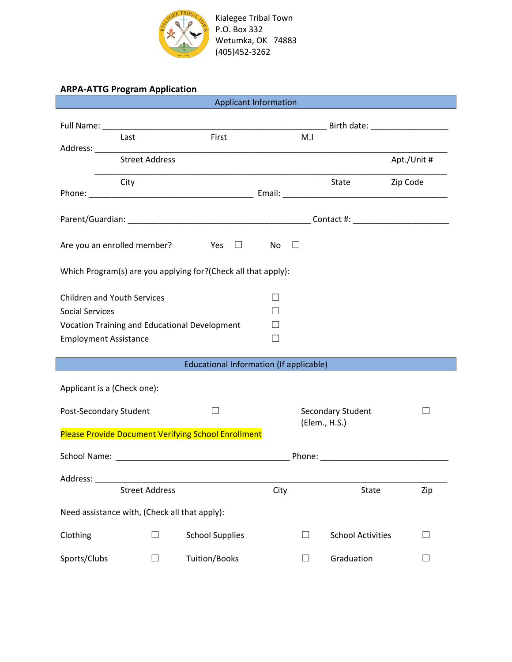

## **ARPA-ATTG Program Application**

| <b>Applicant Information</b>                                                                                                                                                                                                   |                       |                                               |      |                   |                          |             |
|--------------------------------------------------------------------------------------------------------------------------------------------------------------------------------------------------------------------------------|-----------------------|-----------------------------------------------|------|-------------------|--------------------------|-------------|
|                                                                                                                                                                                                                                |                       | Full Name: Birth date: Birth date:            |      |                   |                          |             |
|                                                                                                                                                                                                                                | Last                  | First                                         |      | M.I               |                          |             |
|                                                                                                                                                                                                                                | <b>Street Address</b> |                                               |      |                   |                          | Apt./Unit # |
|                                                                                                                                                                                                                                | City                  |                                               |      |                   | State                    | Zip Code    |
|                                                                                                                                                                                                                                |                       |                                               |      |                   |                          |             |
| Are you an enrolled member? $\Box$ Yes $\Box$<br><b>No</b><br>$\Box$                                                                                                                                                           |                       |                                               |      |                   |                          |             |
| Which Program(s) are you applying for?(Check all that apply):                                                                                                                                                                  |                       |                                               |      |                   |                          |             |
| <b>Children and Youth Services</b><br>$\overline{\phantom{0}}$                                                                                                                                                                 |                       |                                               |      |                   |                          |             |
| <b>Social Services</b>                                                                                                                                                                                                         |                       | Vocation Training and Educational Development |      |                   |                          |             |
| <b>Employment Assistance</b>                                                                                                                                                                                                   |                       |                                               |      |                   |                          |             |
|                                                                                                                                                                                                                                |                       |                                               |      |                   |                          |             |
| Educational Information (If applicable)<br>$\mathcal{L}^{\text{max}}_{\text{max}}$ and $\mathcal{L}^{\text{max}}_{\text{max}}$ and $\mathcal{L}^{\text{max}}_{\text{max}}$                                                     |                       |                                               |      |                   |                          |             |
| Applicant is a (Check one):                                                                                                                                                                                                    |                       |                                               |      |                   |                          |             |
| Post-Secondary Student<br>$\mathbf{I}$                                                                                                                                                                                         |                       |                                               |      | Secondary Student |                          |             |
| (Elem., H.S.)<br><b>Please Provide Document Verifying School Enrollment</b>                                                                                                                                                    |                       |                                               |      |                   |                          |             |
|                                                                                                                                                                                                                                |                       |                                               |      |                   |                          |             |
| Phone: Note: All and the second second second second second second second second second second second second second second second second second second second second second second second second second second second second s |                       |                                               |      |                   |                          |             |
| Address:                                                                                                                                                                                                                       | <b>Street Address</b> |                                               | City |                   | State                    | Zip         |
| Need assistance with, (Check all that apply):                                                                                                                                                                                  |                       |                                               |      |                   |                          |             |
|                                                                                                                                                                                                                                |                       |                                               |      |                   |                          |             |
| Clothing                                                                                                                                                                                                                       |                       | <b>School Supplies</b>                        |      |                   | <b>School Activities</b> | $\Box$      |
| Sports/Clubs                                                                                                                                                                                                                   | ⊔                     | Tuition/Books                                 |      | ⊔                 | Graduation               | $\Box$      |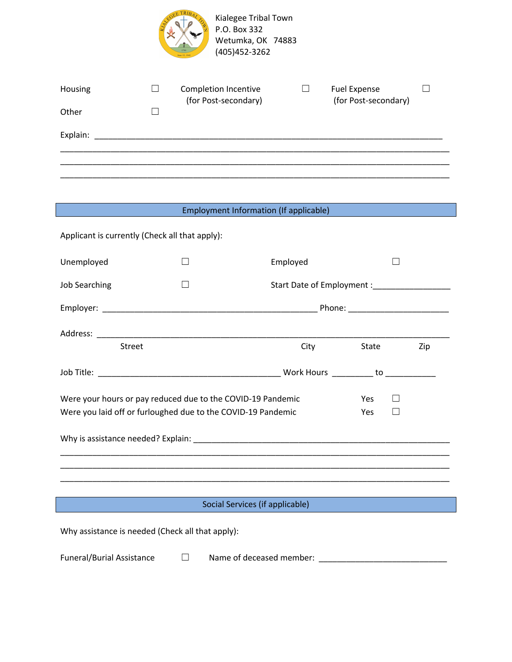

| Housing  | Completion Incentive<br>(for Post-secondary) | Fuel Expense<br>(for Post-secondary) |  |
|----------|----------------------------------------------|--------------------------------------|--|
| Other    |                                              |                                      |  |
| Explain: |                                              |                                      |  |
|          |                                              |                                      |  |
|          |                                              |                                      |  |

## Employment Information (If applicable)

| Applicant is currently (Check all that apply):                                                                                            |  |             |       |     |  |
|-------------------------------------------------------------------------------------------------------------------------------------------|--|-------------|-------|-----|--|
| Unemployed                                                                                                                                |  | Employed    |       |     |  |
| <b>Job Searching</b>                                                                                                                      |  |             |       |     |  |
|                                                                                                                                           |  |             |       |     |  |
|                                                                                                                                           |  |             |       |     |  |
| <b>Street</b>                                                                                                                             |  | <b>City</b> | State | Zip |  |
|                                                                                                                                           |  |             |       |     |  |
| Were your hours or pay reduced due to the COVID-19 Pandemic<br>Yes<br>Were you laid off or furloughed due to the COVID-19 Pandemic<br>Yes |  |             |       |     |  |
|                                                                                                                                           |  |             |       |     |  |
| Social Services (if applicable)                                                                                                           |  |             |       |     |  |
| Why assistance is needed (Check all that apply):                                                                                          |  |             |       |     |  |

Funeral/Burial Assistance □ Name of deceased member: \_\_\_\_\_\_\_\_\_\_\_\_\_\_\_\_\_\_\_\_\_\_\_\_\_\_\_